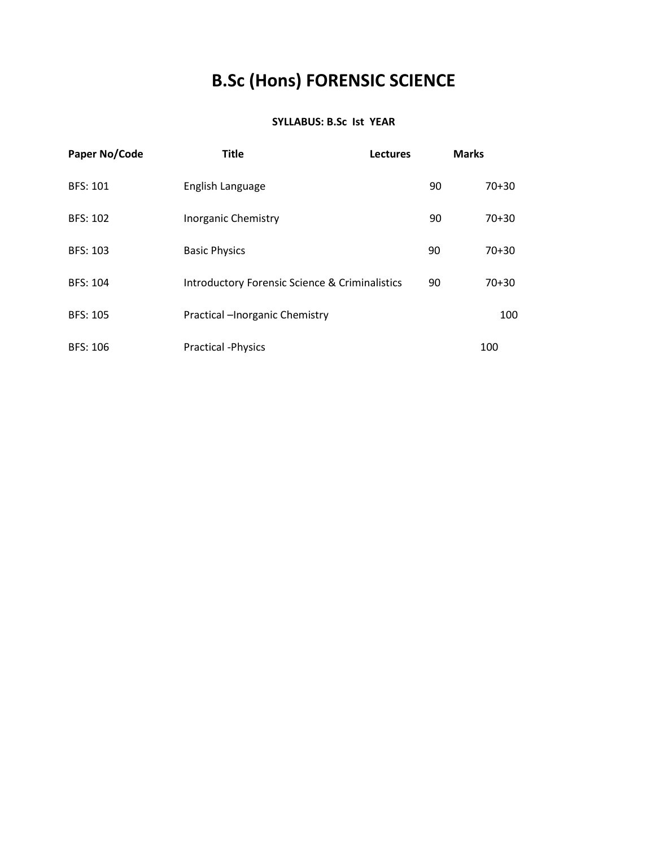# **B.Sc (Hons) FORENSIC SCIENCE**

#### **SYLLABUS: B.Sc Ist YEAR**

| Paper No/Code   | <b>Title</b>                                              | <b>Lectures</b> |    | <b>Marks</b> |
|-----------------|-----------------------------------------------------------|-----------------|----|--------------|
| <b>BFS: 101</b> | English Language                                          |                 | 90 | $70 + 30$    |
| <b>BFS: 102</b> | <b>Inorganic Chemistry</b>                                |                 | 90 | $70 + 30$    |
| <b>BFS: 103</b> | <b>Basic Physics</b>                                      |                 | 90 | $70 + 30$    |
| <b>BFS: 104</b> | <b>Introductory Forensic Science &amp; Criminalistics</b> |                 | 90 | $70 + 30$    |
| <b>BFS: 105</b> | Practical -Inorganic Chemistry                            |                 |    | 100          |
| <b>BFS: 106</b> | <b>Practical -Physics</b>                                 |                 |    | 100          |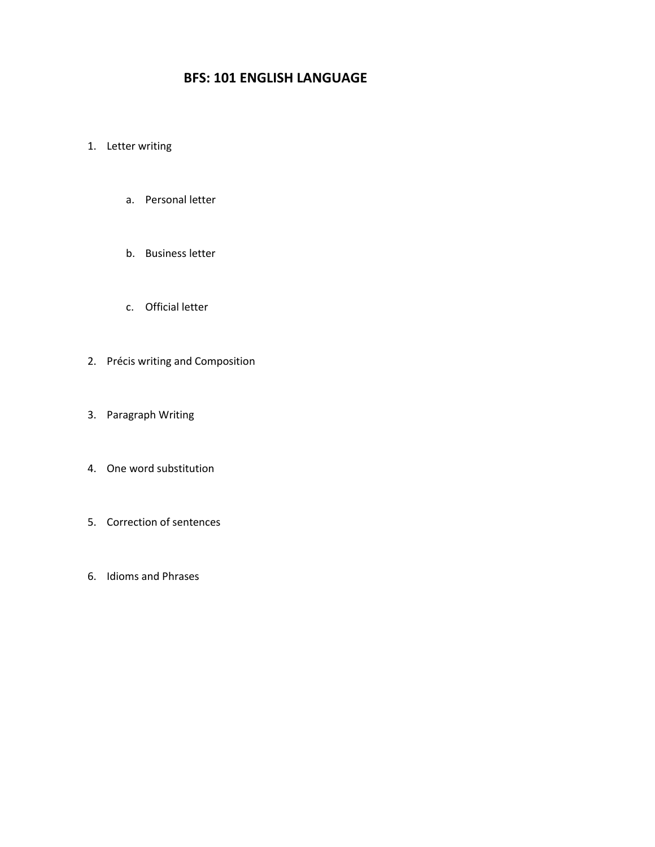# **BFS: 101 ENGLISH LANGUAGE**

#### 1. Letter writing

- a. Personal letter
- b. Business letter
- c. Official letter
- 2. Précis writing and Composition
- 3. Paragraph Writing
- 4. One word substitution
- 5. Correction of sentences
- 6. Idioms and Phrases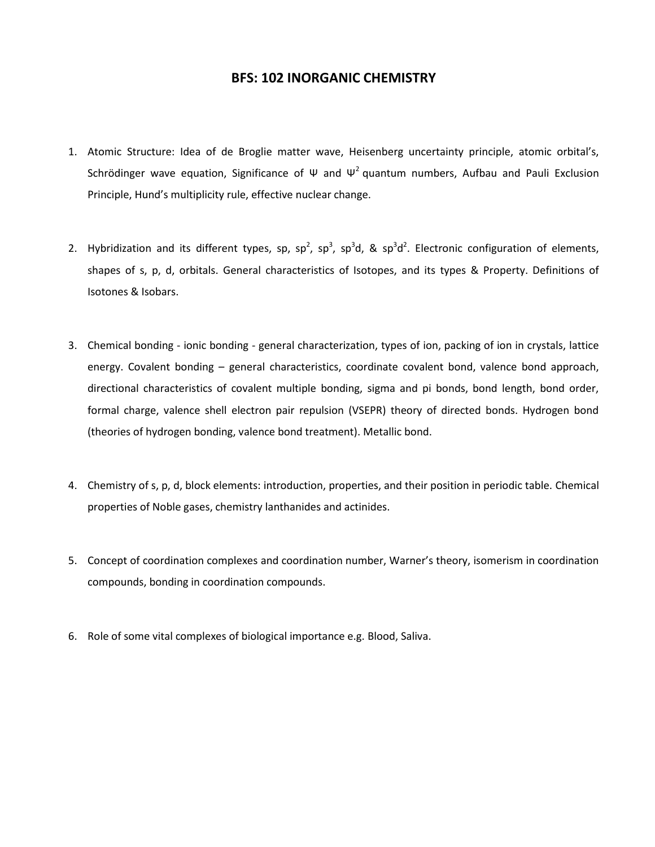#### **BFS: 102 INORGANIC CHEMISTRY**

- 1. Atomic Structure: Idea of de Broglie matter wave, Heisenberg uncertainty principle, atomic orbital's, Schrödinger wave equation, Significance of  $\Psi$  and  $\Psi^2$  quantum numbers, Aufbau and Pauli Exclusion Principle, Hund's multiplicity rule, effective nuclear change.
- 2. Hybridization and its different types, sp, sp<sup>2</sup>, sp<sup>3</sup>, sp<sup>3</sup>d, & sp<sup>3</sup>d<sup>2</sup>. Electronic configuration of elements, shapes of s, p, d, orbitals. General characteristics of Isotopes, and its types & Property. Definitions of Isotones & Isobars.
- 3. Chemical bonding ionic bonding general characterization, types of ion, packing of ion in crystals, lattice energy. Covalent bonding – general characteristics, coordinate covalent bond, valence bond approach, directional characteristics of covalent multiple bonding, sigma and pi bonds, bond length, bond order, formal charge, valence shell electron pair repulsion (VSEPR) theory of directed bonds. Hydrogen bond (theories of hydrogen bonding, valence bond treatment). Metallic bond.
- 4. Chemistry of s, p, d, block elements: introduction, properties, and their position in periodic table. Chemical properties of Noble gases, chemistry lanthanides and actinides.
- 5. Concept of coordination complexes and coordination number, Warner's theory, isomerism in coordination compounds, bonding in coordination compounds.
- 6. Role of some vital complexes of biological importance e.g. Blood, Saliva.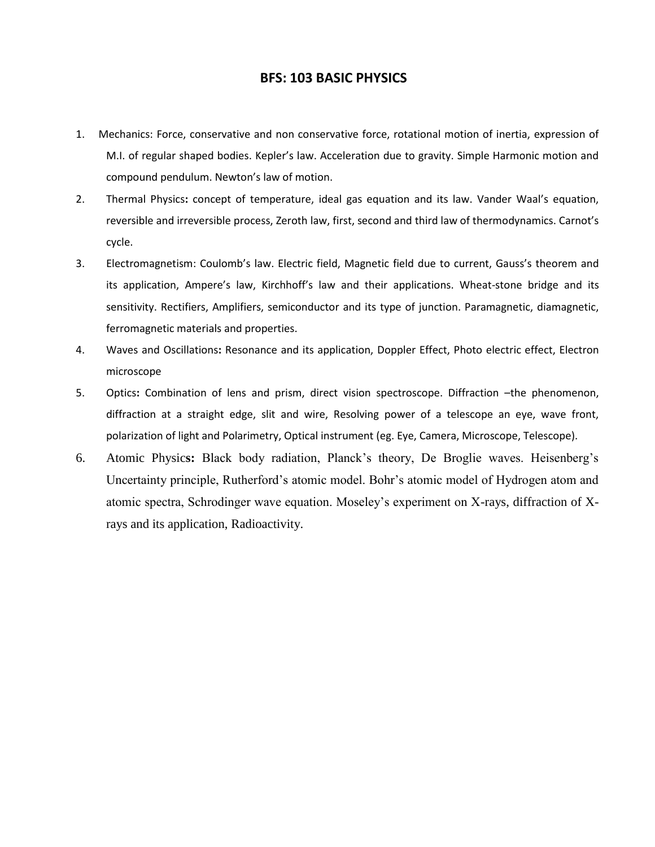#### **BFS: 103 BASIC PHYSICS**

- 1. Mechanics: Force, conservative and non conservative force, rotational motion of inertia, expression of M.I. of regular shaped bodies. Kepler's law. Acceleration due to gravity. Simple Harmonic motion and compound pendulum. Newton's law of motion.
- 2. Thermal Physics**:** concept of temperature, ideal gas equation and its law. Vander Waal's equation, reversible and irreversible process, Zeroth law, first, second and third law of thermodynamics. Carnot's cycle.
- 3. Electromagnetism: Coulomb's law. Electric field, Magnetic field due to current, Gauss's theorem and its application, Ampere's law, Kirchhoff's law and their applications. Wheat-stone bridge and its sensitivity. Rectifiers, Amplifiers, semiconductor and its type of junction. Paramagnetic, diamagnetic, ferromagnetic materials and properties.
- 4. Waves and Oscillations**:** Resonance and its application, Doppler Effect, Photo electric effect, Electron microscope
- 5. Optics**:** Combination of lens and prism, direct vision spectroscope. Diffraction –the phenomenon, diffraction at a straight edge, slit and wire, Resolving power of a telescope an eye, wave front, polarization of light and Polarimetry, Optical instrument (eg. Eye, Camera, Microscope, Telescope).
- 6. Atomic Physic**s:** Black body radiation, Planck's theory, De Broglie waves. Heisenberg's Uncertainty principle, Rutherford's atomic model. Bohr's atomic model of Hydrogen atom and atomic spectra, Schrodinger wave equation. Moseley's experiment on X-rays, diffraction of Xrays and its application, Radioactivity.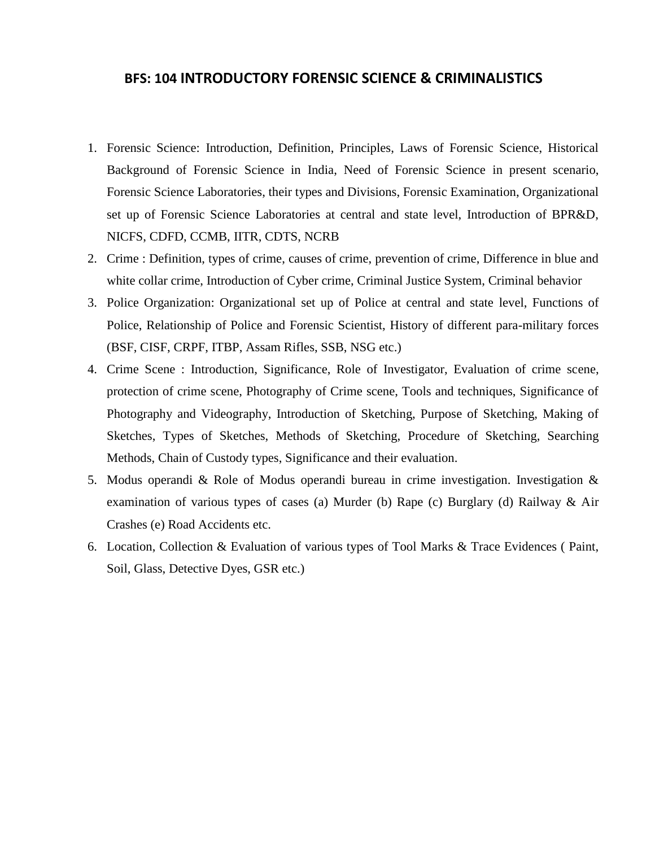### **BFS: 104 INTRODUCTORY FORENSIC SCIENCE & CRIMINALISTICS**

- 1. Forensic Science: Introduction, Definition, Principles, Laws of Forensic Science, Historical Background of Forensic Science in India, Need of Forensic Science in present scenario, Forensic Science Laboratories, their types and Divisions, Forensic Examination, Organizational set up of Forensic Science Laboratories at central and state level, Introduction of BPR&D, NICFS, CDFD, CCMB, IITR, CDTS, NCRB
- 2. Crime : Definition, types of crime, causes of crime, prevention of crime, Difference in blue and white collar crime, Introduction of Cyber crime, Criminal Justice System, Criminal behavior
- 3. Police Organization: Organizational set up of Police at central and state level, Functions of Police, Relationship of Police and Forensic Scientist, History of different para-military forces (BSF, CISF, CRPF, ITBP, Assam Rifles, SSB, NSG etc.)
- 4. Crime Scene : Introduction, Significance, Role of Investigator, Evaluation of crime scene, protection of crime scene, Photography of Crime scene, Tools and techniques, Significance of Photography and Videography, Introduction of Sketching, Purpose of Sketching, Making of Sketches, Types of Sketches, Methods of Sketching, Procedure of Sketching, Searching Methods, Chain of Custody types, Significance and their evaluation.
- 5. Modus operandi & Role of Modus operandi bureau in crime investigation. Investigation & examination of various types of cases (a) Murder (b) Rape (c) Burglary (d) Railway & Air Crashes (e) Road Accidents etc.
- 6. Location, Collection & Evaluation of various types of Tool Marks & Trace Evidences ( Paint, Soil, Glass, Detective Dyes, GSR etc.)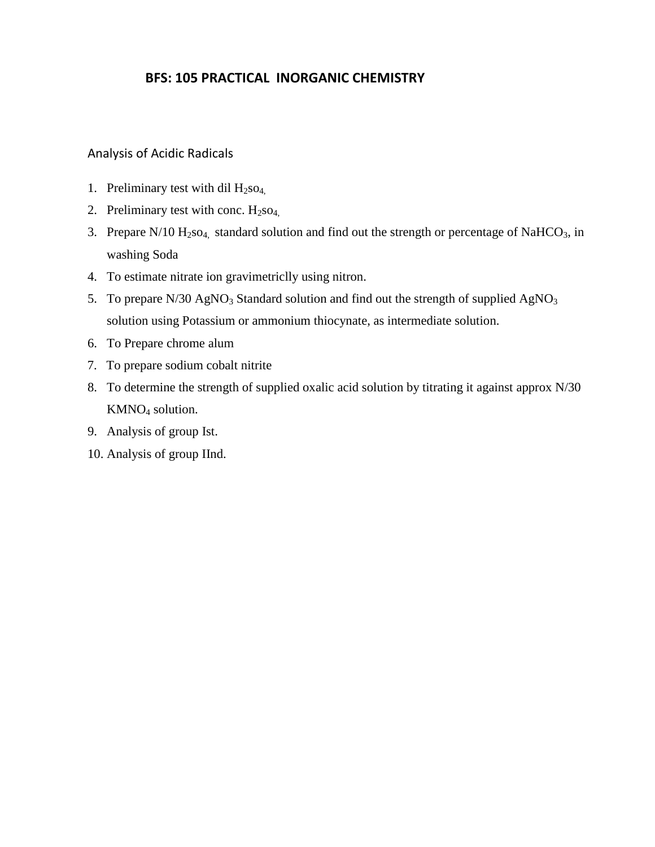# **BFS: 105 PRACTICAL INORGANIC CHEMISTRY**

#### Analysis of Acidic Radicals

- 1. Preliminary test with dil  $H_2$ so<sub>4.</sub>
- 2. Preliminary test with conc.  $H_2$ so<sub>4,</sub>
- 3. Prepare  $N/10$   $H_2$ so<sub>4,</sub> standard solution and find out the strength or percentage of NaHCO<sub>3</sub>, in washing Soda
- 4. To estimate nitrate ion gravimetriclly using nitron.
- 5. To prepare  $N/30$  AgNO<sub>3</sub> Standard solution and find out the strength of supplied AgNO<sub>3</sub> solution using Potassium or ammonium thiocynate, as intermediate solution.
- 6. To Prepare chrome alum
- 7. To prepare sodium cobalt nitrite
- 8. To determine the strength of supplied oxalic acid solution by titrating it against approx N/30 KMNO<sup>4</sup> solution.
- 9. Analysis of group Ist.
- 10. Analysis of group IInd.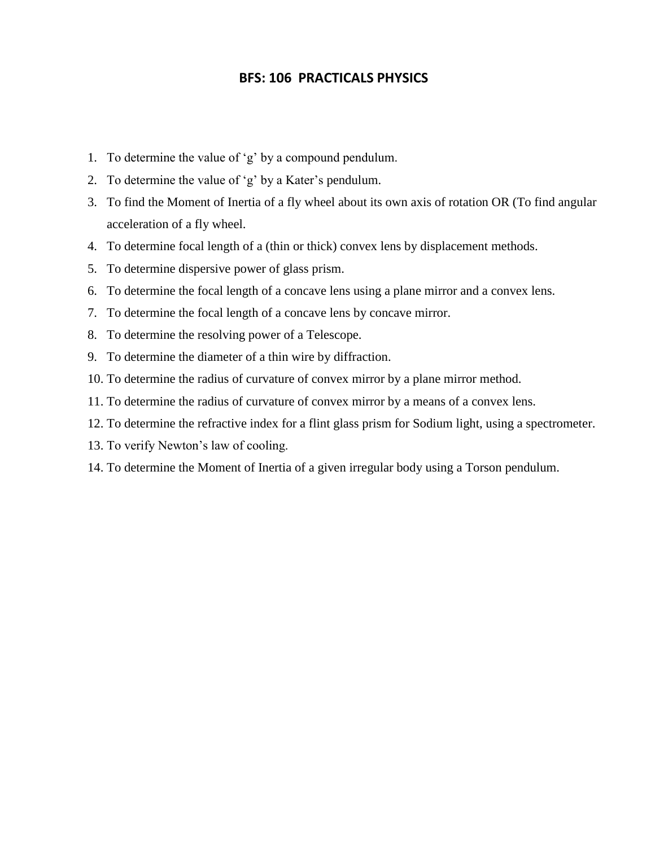# **BFS: 106 PRACTICALS PHYSICS**

- 1. To determine the value of 'g' by a compound pendulum.
- 2. To determine the value of 'g' by a Kater's pendulum.
- 3. To find the Moment of Inertia of a fly wheel about its own axis of rotation OR (To find angular acceleration of a fly wheel.
- 4. To determine focal length of a (thin or thick) convex lens by displacement methods.
- 5. To determine dispersive power of glass prism.
- 6. To determine the focal length of a concave lens using a plane mirror and a convex lens.
- 7. To determine the focal length of a concave lens by concave mirror.
- 8. To determine the resolving power of a Telescope.
- 9. To determine the diameter of a thin wire by diffraction.
- 10. To determine the radius of curvature of convex mirror by a plane mirror method.
- 11. To determine the radius of curvature of convex mirror by a means of a convex lens.
- 12. To determine the refractive index for a flint glass prism for Sodium light, using a spectrometer.
- 13. To verify Newton's law of cooling.
- 14. To determine the Moment of Inertia of a given irregular body using a Torson pendulum.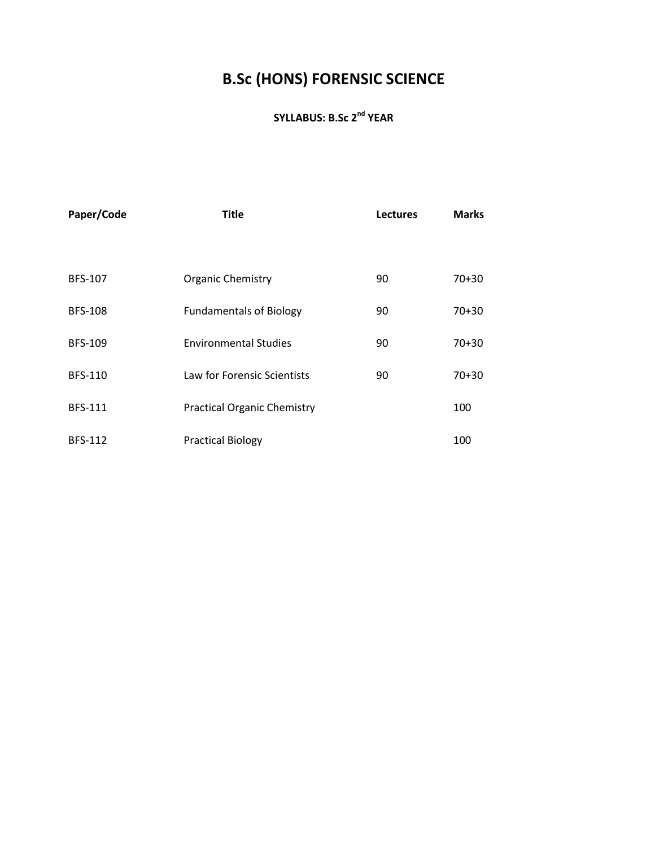# **B.Sc (HONS) FORENSIC SCIENCE**

# **SYLLABUS: B.Sc 2nd YEAR**

| Paper/Code     | <b>Title</b>                       | <b>Lectures</b> | <b>Marks</b> |
|----------------|------------------------------------|-----------------|--------------|
|                |                                    |                 |              |
| <b>BFS-107</b> | <b>Organic Chemistry</b>           | 90              | $70 + 30$    |
| <b>BFS-108</b> | <b>Fundamentals of Biology</b>     | 90              | $70 + 30$    |
| <b>BFS-109</b> | <b>Environmental Studies</b>       | 90              | $70+30$      |
| <b>BFS-110</b> | Law for Forensic Scientists        | 90              | $70+30$      |
| <b>BFS-111</b> | <b>Practical Organic Chemistry</b> |                 | 100          |
| <b>BFS-112</b> | <b>Practical Biology</b>           |                 | 100          |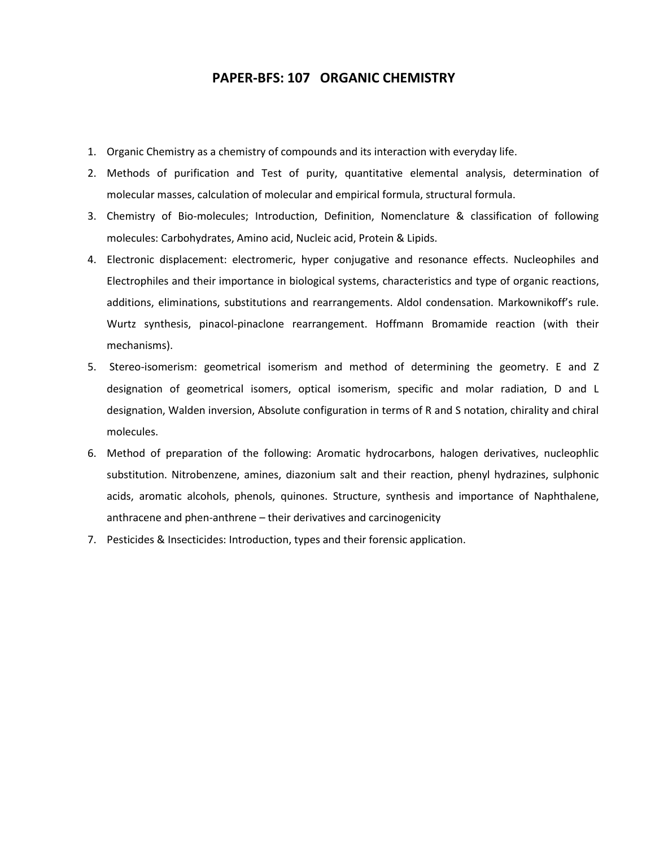#### **PAPER-BFS: 107 ORGANIC CHEMISTRY**

- 1. Organic Chemistry as a chemistry of compounds and its interaction with everyday life.
- 2. Methods of purification and Test of purity, quantitative elemental analysis, determination of molecular masses, calculation of molecular and empirical formula, structural formula.
- 3. Chemistry of Bio-molecules; Introduction, Definition, Nomenclature & classification of following molecules: Carbohydrates, Amino acid, Nucleic acid, Protein & Lipids.
- 4. Electronic displacement: electromeric, hyper conjugative and resonance effects. Nucleophiles and Electrophiles and their importance in biological systems, characteristics and type of organic reactions, additions, eliminations, substitutions and rearrangements. Aldol condensation. Markownikoff's rule. Wurtz synthesis, pinacol-pinaclone rearrangement. Hoffmann Bromamide reaction (with their mechanisms).
- 5. Stereo-isomerism: geometrical isomerism and method of determining the geometry. E and Z designation of geometrical isomers, optical isomerism, specific and molar radiation, D and L designation, Walden inversion, Absolute configuration in terms of R and S notation, chirality and chiral molecules.
- 6. Method of preparation of the following: Aromatic hydrocarbons, halogen derivatives, nucleophlic substitution. Nitrobenzene, amines, diazonium salt and their reaction, phenyl hydrazines, sulphonic acids, aromatic alcohols, phenols, quinones. Structure, synthesis and importance of Naphthalene, anthracene and phen-anthrene – their derivatives and carcinogenicity
- 7. Pesticides & Insecticides: Introduction, types and their forensic application.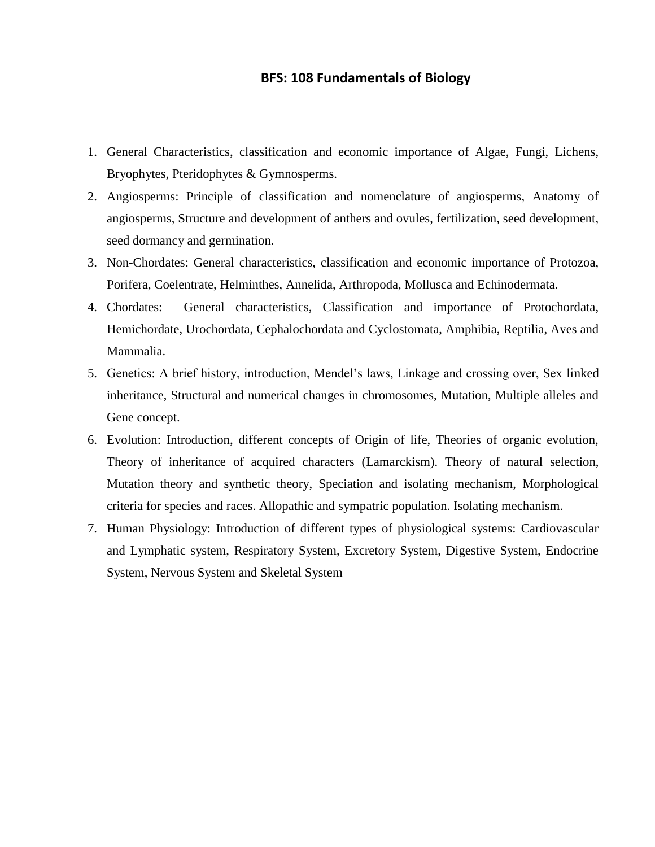#### **BFS: 108 Fundamentals of Biology**

- 1. General Characteristics, classification and economic importance of Algae, Fungi, Lichens, Bryophytes, Pteridophytes & Gymnosperms.
- 2. Angiosperms: Principle of classification and nomenclature of angiosperms, Anatomy of angiosperms, Structure and development of anthers and ovules, fertilization, seed development, seed dormancy and germination.
- 3. Non-Chordates: General characteristics, classification and economic importance of Protozoa, Porifera, Coelentrate, Helminthes, Annelida, Arthropoda, Mollusca and Echinodermata.
- 4. Chordates: General characteristics, Classification and importance of Protochordata, Hemichordate, Urochordata, Cephalochordata and Cyclostomata, Amphibia, Reptilia, Aves and Mammalia.
- 5. Genetics: A brief history, introduction, Mendel's laws, Linkage and crossing over, Sex linked inheritance, Structural and numerical changes in chromosomes, Mutation, Multiple alleles and Gene concept.
- 6. Evolution: Introduction, different concepts of Origin of life, Theories of organic evolution, Theory of inheritance of acquired characters (Lamarckism). Theory of natural selection, Mutation theory and synthetic theory, Speciation and isolating mechanism, Morphological criteria for species and races. Allopathic and sympatric population. Isolating mechanism.
- 7. Human Physiology: Introduction of different types of physiological systems: Cardiovascular and Lymphatic system, Respiratory System, Excretory System, Digestive System, Endocrine System, Nervous System and Skeletal System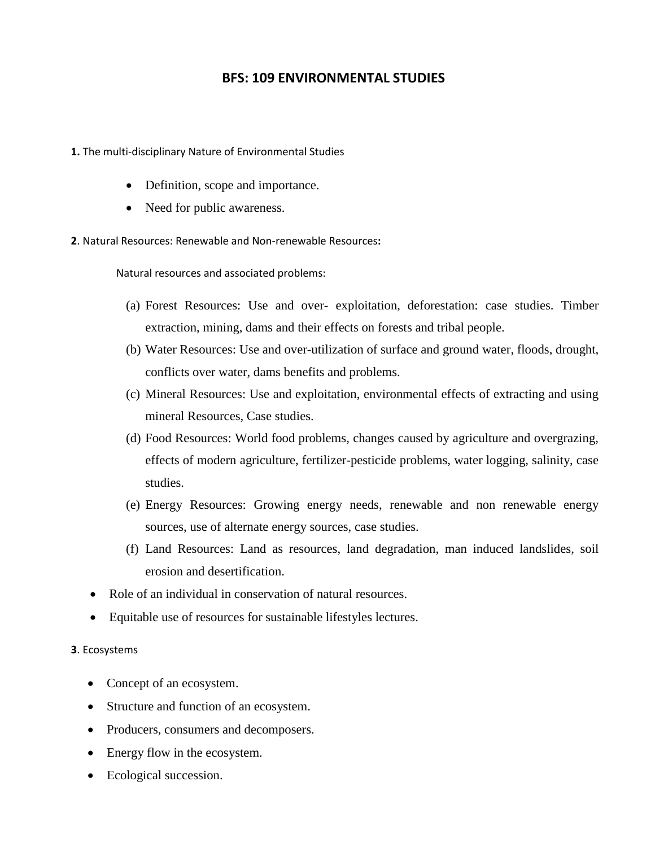# **BFS: 109 ENVIRONMENTAL STUDIES**

- **1.** The multi-disciplinary Nature of Environmental Studies
	- Definition, scope and importance.
	- Need for public awareness.
- **2**. Natural Resources: Renewable and Non-renewable Resources**:**

Natural resources and associated problems:

- (a) Forest Resources: Use and over- exploitation, deforestation: case studies. Timber extraction, mining, dams and their effects on forests and tribal people.
- (b) Water Resources: Use and over-utilization of surface and ground water, floods, drought, conflicts over water, dams benefits and problems.
- (c) Mineral Resources: Use and exploitation, environmental effects of extracting and using mineral Resources, Case studies.
- (d) Food Resources: World food problems, changes caused by agriculture and overgrazing, effects of modern agriculture, fertilizer-pesticide problems, water logging, salinity, case studies.
- (e) Energy Resources: Growing energy needs, renewable and non renewable energy sources, use of alternate energy sources, case studies.
- (f) Land Resources: Land as resources, land degradation, man induced landslides, soil erosion and desertification.
- Role of an individual in conservation of natural resources.
- Equitable use of resources for sustainable lifestyles lectures.

#### **3**. Ecosystems

- Concept of an ecosystem.
- Structure and function of an ecosystem.
- Producers, consumers and decomposers.
- Energy flow in the ecosystem.
- Ecological succession.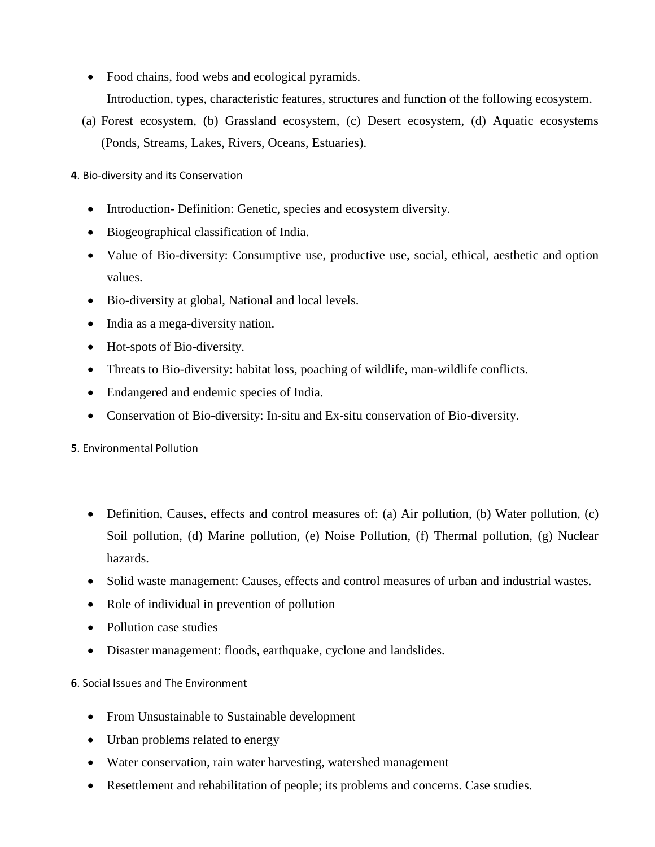- Food chains, food webs and ecological pyramids. Introduction, types, characteristic features, structures and function of the following ecosystem.
- (a) Forest ecosystem, (b) Grassland ecosystem, (c) Desert ecosystem, (d) Aquatic ecosystems (Ponds, Streams, Lakes, Rivers, Oceans, Estuaries).

**4**. Bio-diversity and its Conservation

- Introduction-Definition: Genetic, species and ecosystem diversity.
- Biogeographical classification of India.
- Value of Bio-diversity: Consumptive use, productive use, social, ethical, aesthetic and option values.
- Bio-diversity at global, National and local levels.
- India as a mega-diversity nation.
- Hot-spots of Bio-diversity.
- Threats to Bio-diversity: habitat loss, poaching of wildlife, man-wildlife conflicts.
- Endangered and endemic species of India.
- Conservation of Bio-diversity: In-situ and Ex-situ conservation of Bio-diversity.

**5**. Environmental Pollution

- Definition, Causes, effects and control measures of: (a) Air pollution, (b) Water pollution, (c) Soil pollution, (d) Marine pollution, (e) Noise Pollution, (f) Thermal pollution, (g) Nuclear hazards.
- Solid waste management: Causes, effects and control measures of urban and industrial wastes.
- Role of individual in prevention of pollution
- Pollution case studies
- Disaster management: floods, earthquake, cyclone and landslides.

### **6**. Social Issues and The Environment

- From Unsustainable to Sustainable development
- Urban problems related to energy
- Water conservation, rain water harvesting, watershed management
- Resettlement and rehabilitation of people; its problems and concerns. Case studies.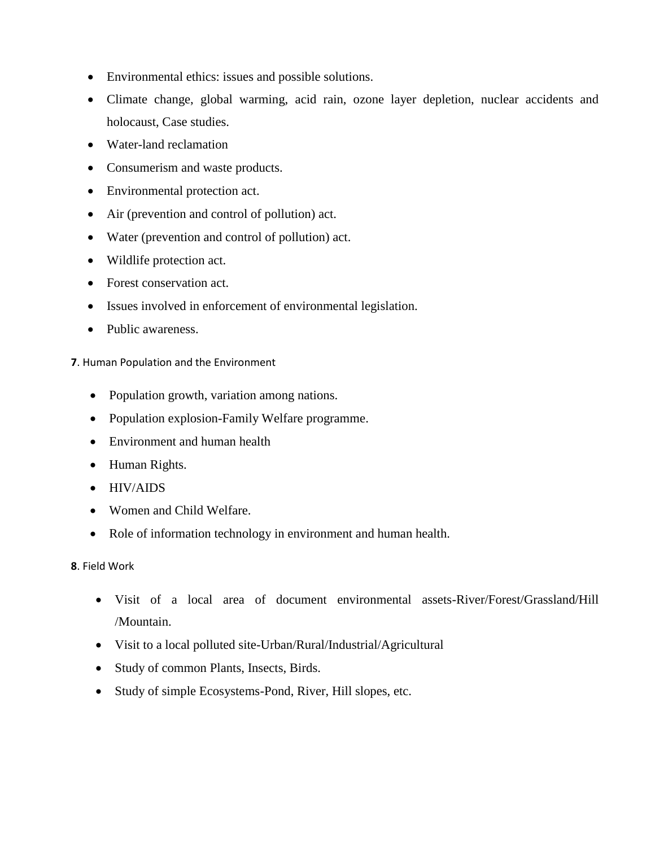- Environmental ethics: issues and possible solutions.
- Climate change, global warming, acid rain, ozone layer depletion, nuclear accidents and holocaust, Case studies.
- Water-land reclamation
- Consumerism and waste products.
- Environmental protection act.
- Air (prevention and control of pollution) act.
- Water (prevention and control of pollution) act.
- Wildlife protection act.
- Forest conservation act.
- Issues involved in enforcement of environmental legislation.
- Public awareness.

#### **7**. Human Population and the Environment

- Population growth, variation among nations.
- Population explosion-Family Welfare programme.
- Environment and human health
- Human Rights.
- HIV/AIDS
- Women and Child Welfare.
- Role of information technology in environment and human health.

### **8**. Field Work

- Visit of a local area of document environmental assets-River/Forest/Grassland/Hill /Mountain.
- Visit to a local polluted site-Urban/Rural/Industrial/Agricultural
- Study of common Plants, Insects, Birds.
- Study of simple Ecosystems-Pond, River, Hill slopes, etc.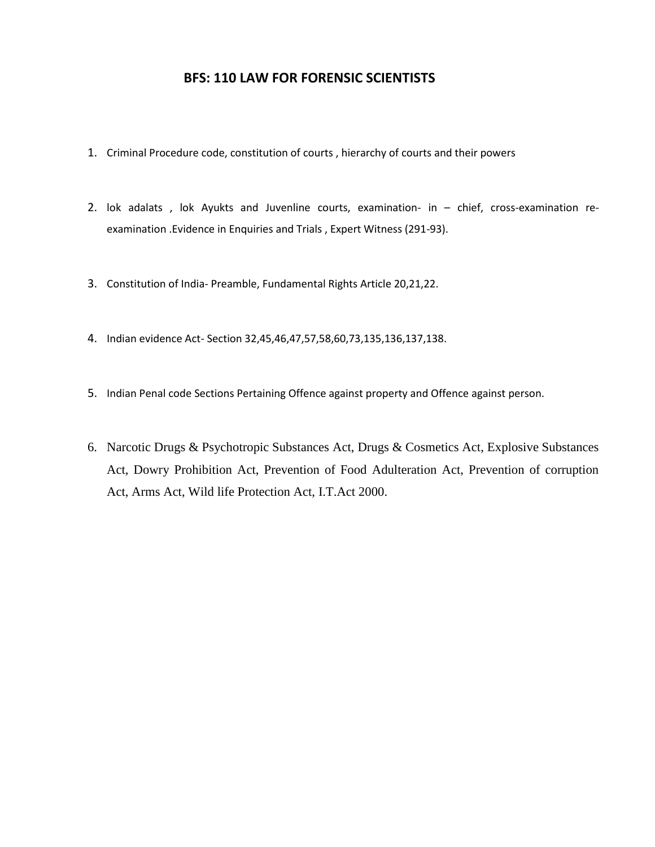### **BFS: 110 LAW FOR FORENSIC SCIENTISTS**

- 1. Criminal Procedure code, constitution of courts , hierarchy of courts and their powers
- 2. lok adalats , lok Ayukts and Juvenline courts, examination- in chief, cross-examination reexamination .Evidence in Enquiries and Trials , Expert Witness (291-93).
- 3. Constitution of India- Preamble, Fundamental Rights Article 20,21,22.
- 4. Indian evidence Act- Section 32,45,46,47,57,58,60,73,135,136,137,138.
- 5. Indian Penal code Sections Pertaining Offence against property and Offence against person.
- 6. Narcotic Drugs & Psychotropic Substances Act, Drugs & Cosmetics Act, Explosive Substances Act, Dowry Prohibition Act, Prevention of Food Adulteration Act, Prevention of corruption Act, Arms Act, Wild life Protection Act, I.T.Act 2000.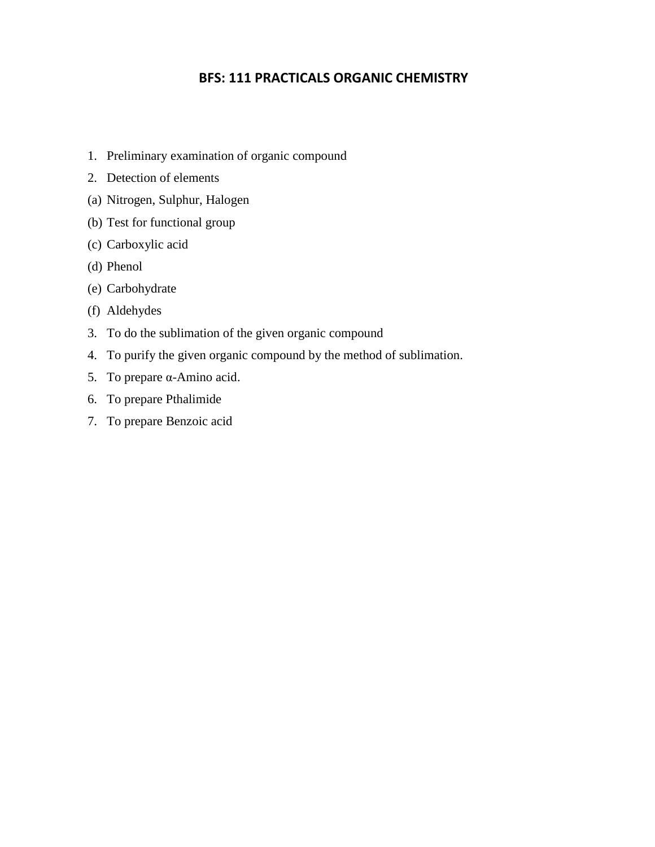# **BFS: 111 PRACTICALS ORGANIC CHEMISTRY**

- 1. Preliminary examination of organic compound
- 2. Detection of elements
- (a) Nitrogen, Sulphur, Halogen
- (b) Test for functional group
- (c) Carboxylic acid
- (d) Phenol
- (e) Carbohydrate
- (f) Aldehydes
- 3. To do the sublimation of the given organic compound
- 4. To purify the given organic compound by the method of sublimation.
- 5. To prepare α-Amino acid.
- 6. To prepare Pthalimide
- 7. To prepare Benzoic acid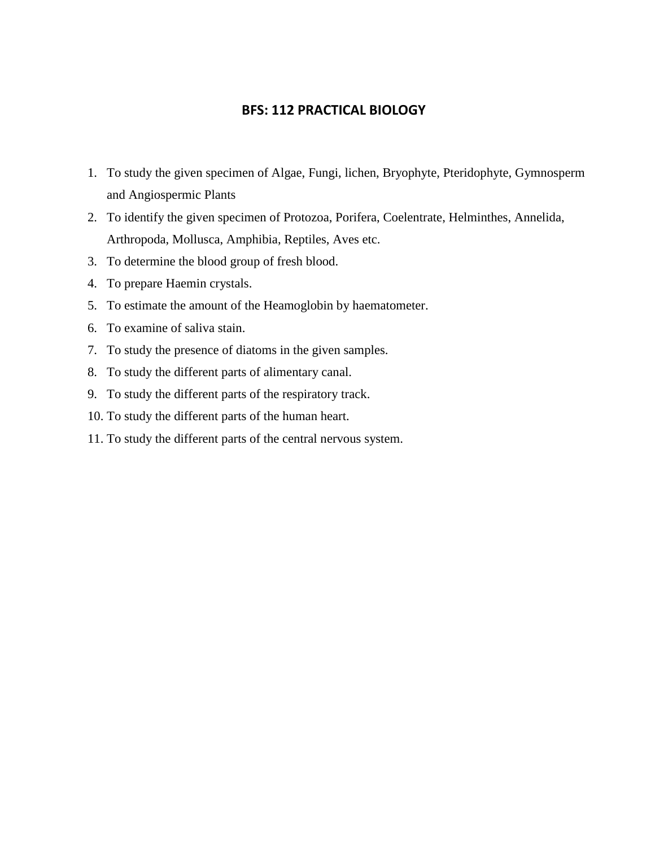## **BFS: 112 PRACTICAL BIOLOGY**

- 1. To study the given specimen of Algae, Fungi, lichen, Bryophyte, Pteridophyte, Gymnosperm and Angiospermic Plants
- 2. To identify the given specimen of Protozoa, Porifera, Coelentrate, Helminthes, Annelida, Arthropoda, Mollusca, Amphibia, Reptiles, Aves etc.
- 3. To determine the blood group of fresh blood.
- 4. To prepare Haemin crystals.
- 5. To estimate the amount of the Heamoglobin by haematometer.
- 6. To examine of saliva stain.
- 7. To study the presence of diatoms in the given samples.
- 8. To study the different parts of alimentary canal.
- 9. To study the different parts of the respiratory track.
- 10. To study the different parts of the human heart.
- 11. To study the different parts of the central nervous system.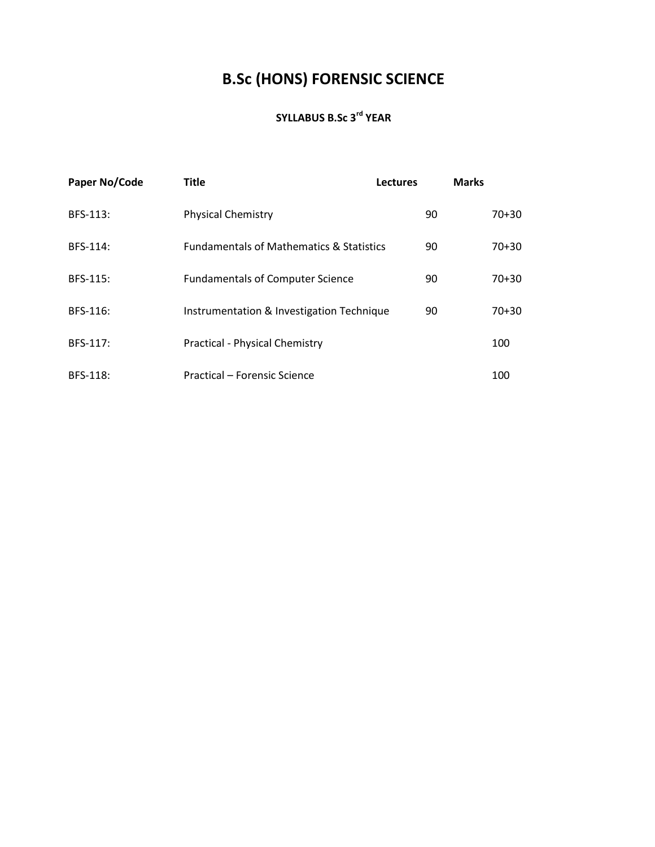# **B.Sc (HONS) FORENSIC SCIENCE**

# **SYLLABUS B.Sc 3rd YEAR**

| Paper No/Code | <b>Title</b>                                        | <b>Lectures</b> | <b>Marks</b> |
|---------------|-----------------------------------------------------|-----------------|--------------|
| BFS-113:      | <b>Physical Chemistry</b>                           | 90              | 70+30        |
| BFS-114:      | <b>Fundamentals of Mathematics &amp; Statistics</b> | 90              | $70 + 30$    |
| BFS-115:      | <b>Fundamentals of Computer Science</b>             | 90              | $70 + 30$    |
| BFS-116:      | Instrumentation & Investigation Technique           | 90              | $70+30$      |
| BFS-117:      | Practical - Physical Chemistry                      |                 | 100          |
| BFS-118:      | Practical – Forensic Science                        |                 | 100          |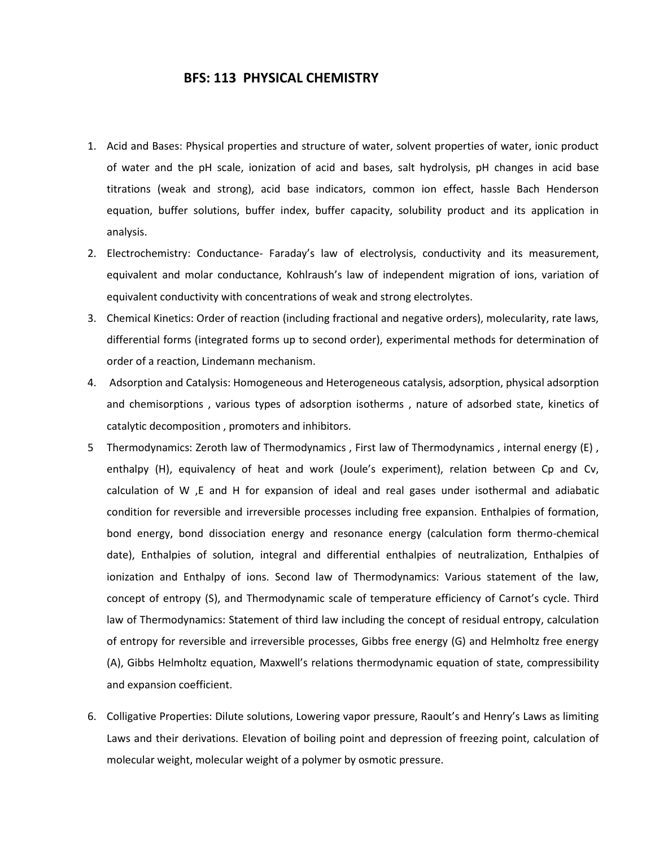#### **BFS: 113 PHYSICAL CHEMISTRY**

- 1. Acid and Bases: Physical properties and structure of water, solvent properties of water, ionic product of water and the pH scale, ionization of acid and bases, salt hydrolysis, pH changes in acid base titrations (weak and strong), acid base indicators, common ion effect, hassle Bach Henderson equation, buffer solutions, buffer index, buffer capacity, solubility product and its application in analysis.
- 2. Electrochemistry: Conductance- Faraday's law of electrolysis, conductivity and its measurement, equivalent and molar conductance, Kohlraush's law of independent migration of ions, variation of equivalent conductivity with concentrations of weak and strong electrolytes.
- 3. Chemical Kinetics: Order of reaction (including fractional and negative orders), molecularity, rate laws, differential forms (integrated forms up to second order), experimental methods for determination of order of a reaction, Lindemann mechanism.
- 4. Adsorption and Catalysis: Homogeneous and Heterogeneous catalysis, adsorption, physical adsorption and chemisorptions , various types of adsorption isotherms , nature of adsorbed state, kinetics of catalytic decomposition , promoters and inhibitors.
- 5 Thermodynamics: Zeroth law of Thermodynamics , First law of Thermodynamics , internal energy (E) , enthalpy (H), equivalency of heat and work (Joule's experiment), relation between Cp and Cv, calculation of W ,E and H for expansion of ideal and real gases under isothermal and adiabatic condition for reversible and irreversible processes including free expansion. Enthalpies of formation, bond energy, bond dissociation energy and resonance energy (calculation form thermo-chemical date), Enthalpies of solution, integral and differential enthalpies of neutralization, Enthalpies of ionization and Enthalpy of ions. Second law of Thermodynamics: Various statement of the law, concept of entropy (S), and Thermodynamic scale of temperature efficiency of Carnot's cycle. Third law of Thermodynamics: Statement of third law including the concept of residual entropy, calculation of entropy for reversible and irreversible processes, Gibbs free energy (G) and Helmholtz free energy (A), Gibbs Helmholtz equation, Maxwell's relations thermodynamic equation of state, compressibility and expansion coefficient.
- 6. Colligative Properties: Dilute solutions, Lowering vapor pressure, Raoult's and Henry's Laws as limiting Laws and their derivations. Elevation of boiling point and depression of freezing point, calculation of molecular weight, molecular weight of a polymer by osmotic pressure.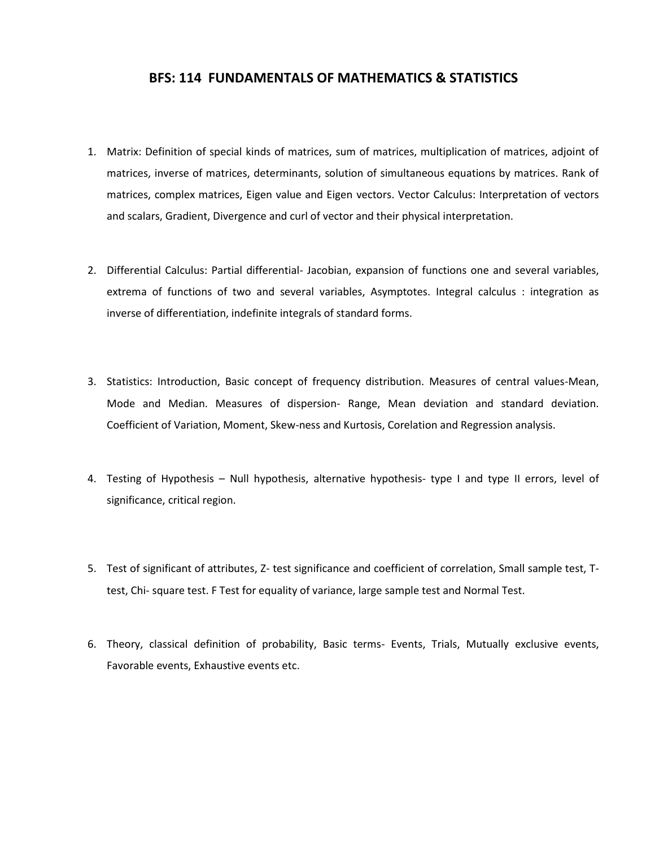### **BFS: 114 FUNDAMENTALS OF MATHEMATICS & STATISTICS**

- 1. Matrix: Definition of special kinds of matrices, sum of matrices, multiplication of matrices, adjoint of matrices, inverse of matrices, determinants, solution of simultaneous equations by matrices. Rank of matrices, complex matrices, Eigen value and Eigen vectors. Vector Calculus: Interpretation of vectors and scalars, Gradient, Divergence and curl of vector and their physical interpretation.
- 2. Differential Calculus: Partial differential- Jacobian, expansion of functions one and several variables, extrema of functions of two and several variables, Asymptotes. Integral calculus : integration as inverse of differentiation, indefinite integrals of standard forms.
- 3. Statistics: Introduction, Basic concept of frequency distribution. Measures of central values-Mean, Mode and Median. Measures of dispersion- Range, Mean deviation and standard deviation. Coefficient of Variation, Moment, Skew-ness and Kurtosis, Corelation and Regression analysis.
- 4. Testing of Hypothesis Null hypothesis, alternative hypothesis- type I and type II errors, level of significance, critical region.
- 5. Test of significant of attributes, Z- test significance and coefficient of correlation, Small sample test, Ttest, Chi- square test. F Test for equality of variance, large sample test and Normal Test.
- 6. Theory, classical definition of probability, Basic terms- Events, Trials, Mutually exclusive events, Favorable events, Exhaustive events etc.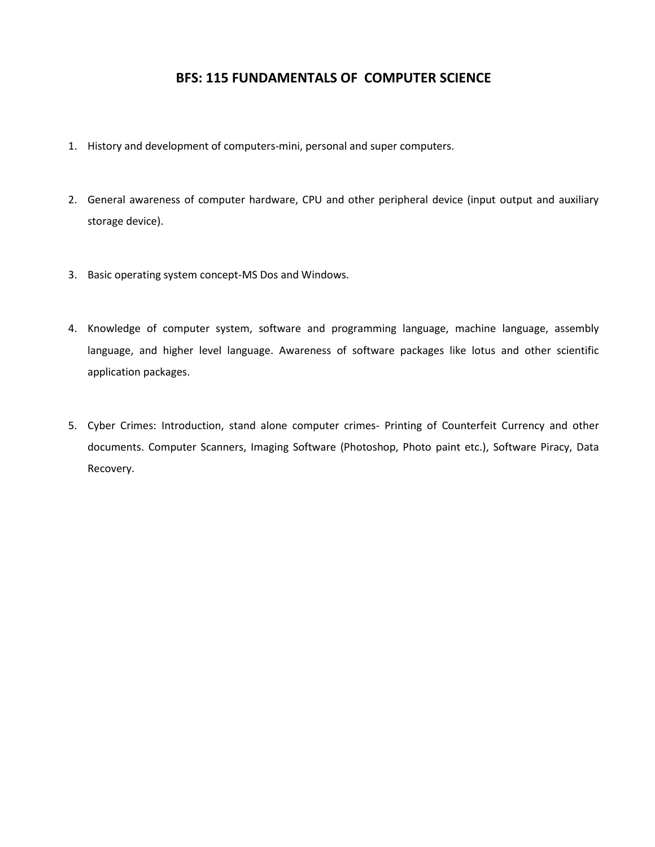# **BFS: 115 FUNDAMENTALS OF COMPUTER SCIENCE**

- 1. History and development of computers-mini, personal and super computers.
- 2. General awareness of computer hardware, CPU and other peripheral device (input output and auxiliary storage device).
- 3. Basic operating system concept-MS Dos and Windows.
- 4. Knowledge of computer system, software and programming language, machine language, assembly language, and higher level language. Awareness of software packages like lotus and other scientific application packages.
- 5. Cyber Crimes: Introduction, stand alone computer crimes- Printing of Counterfeit Currency and other documents. Computer Scanners, Imaging Software (Photoshop, Photo paint etc.), Software Piracy, Data Recovery.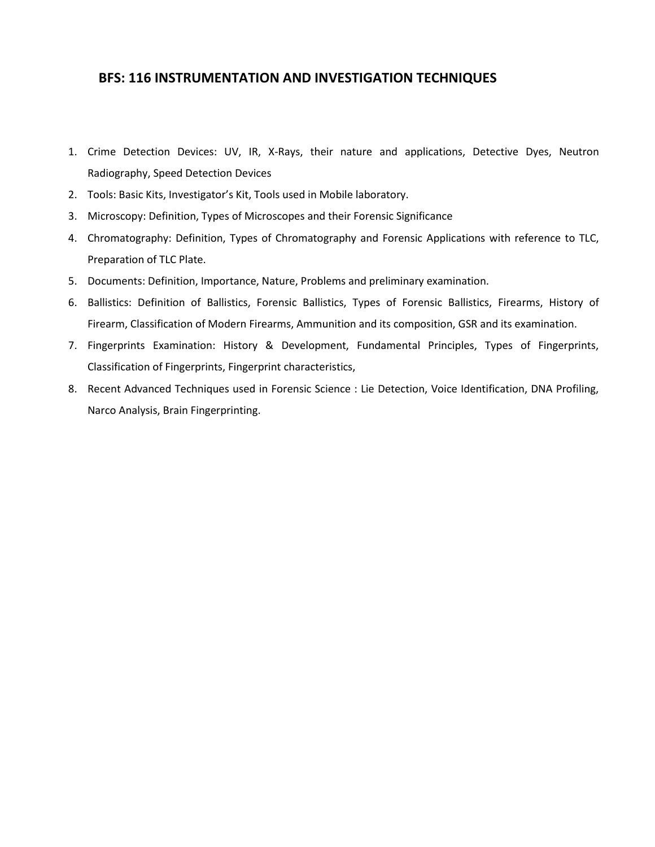## **BFS: 116 INSTRUMENTATION AND INVESTIGATION TECHNIQUES**

- 1. Crime Detection Devices: UV, IR, X-Rays, their nature and applications, Detective Dyes, Neutron Radiography, Speed Detection Devices
- 2. Tools: Basic Kits, Investigator's Kit, Tools used in Mobile laboratory.
- 3. Microscopy: Definition, Types of Microscopes and their Forensic Significance
- 4. Chromatography: Definition, Types of Chromatography and Forensic Applications with reference to TLC, Preparation of TLC Plate.
- 5. Documents: Definition, Importance, Nature, Problems and preliminary examination.
- 6. Ballistics: Definition of Ballistics, Forensic Ballistics, Types of Forensic Ballistics, Firearms, History of Firearm, Classification of Modern Firearms, Ammunition and its composition, GSR and its examination.
- 7. Fingerprints Examination: History & Development, Fundamental Principles, Types of Fingerprints, Classification of Fingerprints, Fingerprint characteristics,
- 8. Recent Advanced Techniques used in Forensic Science : Lie Detection, Voice Identification, DNA Profiling, Narco Analysis, Brain Fingerprinting.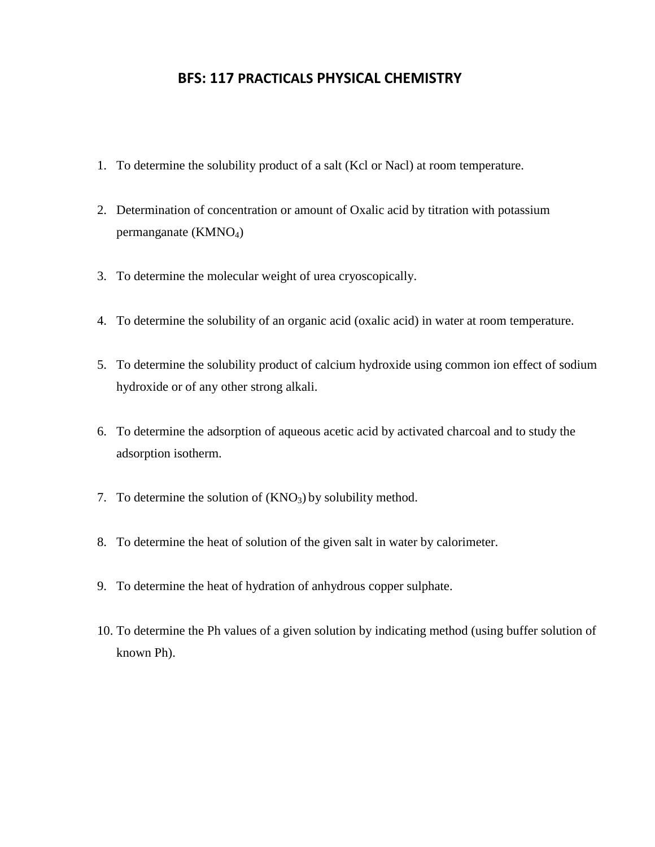# **BFS: 117 PRACTICALS PHYSICAL CHEMISTRY**

- 1. To determine the solubility product of a salt (Kcl or Nacl) at room temperature.
- 2. Determination of concentration or amount of Oxalic acid by titration with potassium permanganate (KMNO4)
- 3. To determine the molecular weight of urea cryoscopically.
- 4. To determine the solubility of an organic acid (oxalic acid) in water at room temperature.
- 5. To determine the solubility product of calcium hydroxide using common ion effect of sodium hydroxide or of any other strong alkali.
- 6. To determine the adsorption of aqueous acetic acid by activated charcoal and to study the adsorption isotherm.
- 7. To determine the solution of  $(KNO<sub>3</sub>)$  by solubility method.
- 8. To determine the heat of solution of the given salt in water by calorimeter.
- 9. To determine the heat of hydration of anhydrous copper sulphate.
- 10. To determine the Ph values of a given solution by indicating method (using buffer solution of known Ph).